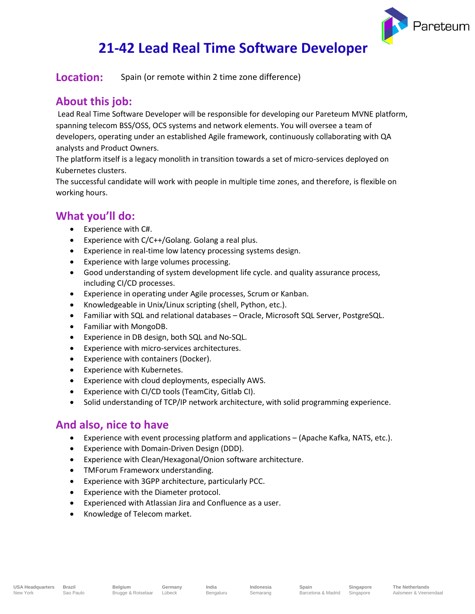

# **21-42 Lead Real Time Software Developer**

**Location:** Spain (or remote within 2 time zone difference)

### **About this job:**

Lead Real Time Software Developer will be responsible for developing our Pareteum MVNE platform, spanning telecom BSS/OSS, OCS systems and network elements. You will oversee a team of developers, operating under an established Agile framework, continuously collaborating with QA analysts and Product Owners.

The platform itself is a legacy monolith in transition towards a set of micro-services deployed on Kubernetes clusters.

The successful candidate will work with people in multiple time zones, and therefore, is flexible on working hours.

## **What you'll do:**

- Experience with C#.
- Experience with C/C++/Golang. Golang a real plus.
- Experience in real-time low latency processing systems design.
- Experience with large volumes processing.
- Good understanding of system development life cycle. and quality assurance process, including CI/CD processes.
- Experience in operating under Agile processes, Scrum or Kanban.
- Knowledgeable in Unix/Linux scripting (shell, Python, etc.).
- Familiar with SQL and relational databases Oracle, Microsoft SQL Server, PostgreSQL.
- Familiar with MongoDB.
- Experience in DB design, both SQL and No-SQL.
- Experience with micro-services architectures.
- Experience with containers (Docker).
- Experience with Kubernetes.
- Experience with cloud deployments, especially AWS.
- Experience with CI/CD tools (TeamCity, Gitlab CI).
- Solid understanding of TCP/IP network architecture, with solid programming experience.

#### **And also, nice to have**

- Experience with event processing platform and applications (Apache Kafka, NATS, etc.).
- Experience with Domain-Driven Design (DDD).
- Experience with Clean/Hexagonal/Onion software architecture.
- TMForum Frameworx understanding.
- Experience with 3GPP architecture, particularly PCC.
- Experience with the Diameter protocol.
- Experienced with Atlassian Jira and Confluence as a user.

**Germany** Lübeck

Knowledge of Telecom market.